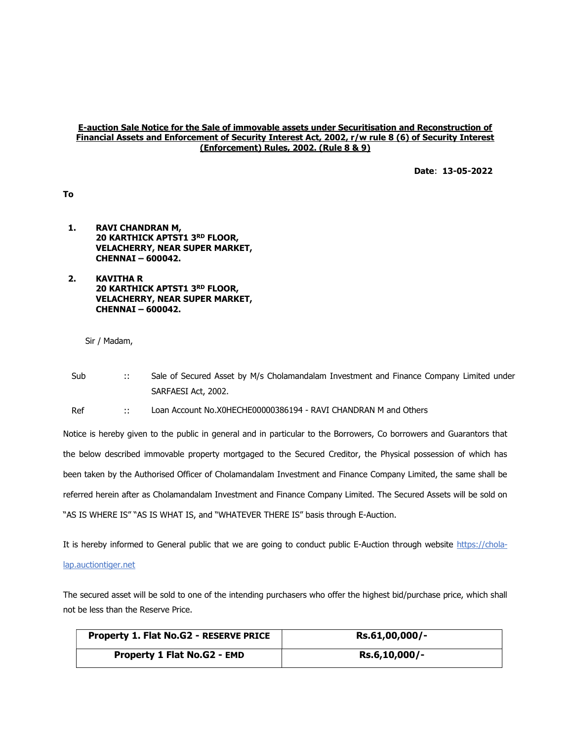## E-auction Sale Notice for the Sale of immovable assets under Securitisation and Reconstruction of Financial Assets and Enforcement of Security Interest Act, 2002, r/w rule 8 (6) of Security Interest (Enforcement) Rules, 2002. (Rule 8 & 9)

Date: 13-05-2022

To

- 1. RAVI CHANDRAN M, 20 KARTHICK APTST1 3RD FLOOR, VELACHERRY, NEAR SUPER MARKET, CHENNAI – 600042.
- 2. KAVITHA R 20 KARTHICK APTST1 3RD FLOOR, VELACHERRY, NEAR SUPER MARKET, CHENNAI – 600042.

Sir / Madam,

Sub :: Sale of Secured Asset by M/s Cholamandalam Investment and Finance Company Limited under SARFAESI Act, 2002.

Ref :: Loan Account No.X0HECHE00000386194 - RAVI CHANDRAN M and Others

Notice is hereby given to the public in general and in particular to the Borrowers, Co borrowers and Guarantors that the below described immovable property mortgaged to the Secured Creditor, the Physical possession of which has been taken by the Authorised Officer of Cholamandalam Investment and Finance Company Limited, the same shall be referred herein after as Cholamandalam Investment and Finance Company Limited. The Secured Assets will be sold on "AS IS WHERE IS" "AS IS WHAT IS, and "WHATEVER THERE IS" basis through E-Auction.

It is hereby informed to General public that we are going to conduct public E-Auction through website https://cholalap.auctiontiger.net

The secured asset will be sold to one of the intending purchasers who offer the highest bid/purchase price, which shall not be less than the Reserve Price.

| Property 1. Flat No.G2 - RESERVE PRICE | Rs.61,00,000/- |
|----------------------------------------|----------------|
| <b>Property 1 Flat No.G2 - EMD</b>     | Rs.6,10,000/-  |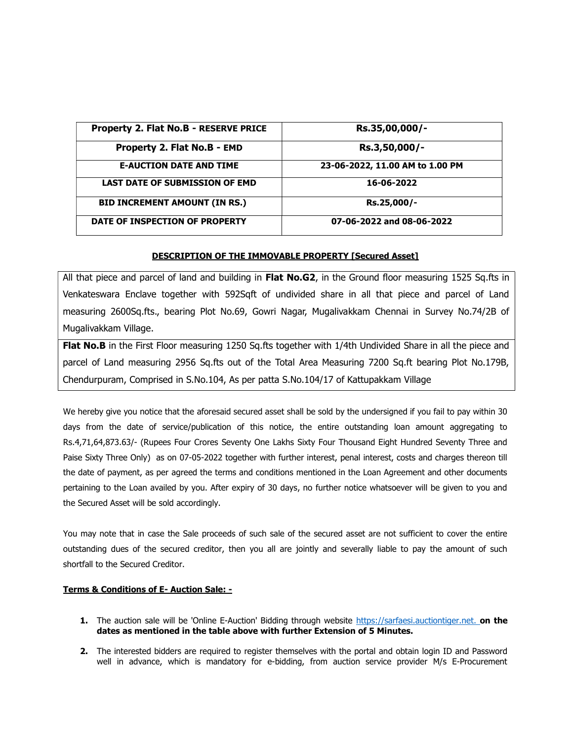| Property 2. Flat No.B - RESERVE PRICE | Rs.35,00,000/-                  |
|---------------------------------------|---------------------------------|
| Property 2. Flat No.B - EMD           | Rs.3,50,000/-                   |
| <b>E-AUCTION DATE AND TIME</b>        | 23-06-2022, 11.00 AM to 1.00 PM |
| <b>LAST DATE OF SUBMISSION OF EMD</b> | 16-06-2022                      |
| <b>BID INCREMENT AMOUNT (IN RS.)</b>  | Rs.25,000/-                     |
| DATE OF INSPECTION OF PROPERTY        | 07-06-2022 and 08-06-2022       |

## DESCRIPTION OF THE IMMOVABLE PROPERTY [Secured Asset]

All that piece and parcel of land and building in Flat No.G2, in the Ground floor measuring 1525 Sq.fts in Venkateswara Enclave together with 592Sqft of undivided share in all that piece and parcel of Land measuring 2600Sq.fts., bearing Plot No.69, Gowri Nagar, Mugalivakkam Chennai in Survey No.74/2B of Mugalivakkam Village.

Flat No.B in the First Floor measuring 1250 Sq.fts together with 1/4th Undivided Share in all the piece and parcel of Land measuring 2956 Sq.fts out of the Total Area Measuring 7200 Sq.ft bearing Plot No.179B, Chendurpuram, Comprised in S.No.104, As per patta S.No.104/17 of Kattupakkam Village

We hereby give you notice that the aforesaid secured asset shall be sold by the undersigned if you fail to pay within 30 days from the date of service/publication of this notice, the entire outstanding loan amount aggregating to Rs.4,71,64,873.63/- (Rupees Four Crores Seventy One Lakhs Sixty Four Thousand Eight Hundred Seventy Three and Paise Sixty Three Only) as on 07-05-2022 together with further interest, penal interest, costs and charges thereon till the date of payment, as per agreed the terms and conditions mentioned in the Loan Agreement and other documents pertaining to the Loan availed by you. After expiry of 30 days, no further notice whatsoever will be given to you and the Secured Asset will be sold accordingly.

You may note that in case the Sale proceeds of such sale of the secured asset are not sufficient to cover the entire outstanding dues of the secured creditor, then you all are jointly and severally liable to pay the amount of such shortfall to the Secured Creditor.

## Terms & Conditions of E- Auction Sale: -

- 1. The auction sale will be 'Online E-Auction' Bidding through website https://sarfaesi.auctiontiger.net. on the dates as mentioned in the table above with further Extension of 5 Minutes.
- 2. The interested bidders are required to register themselves with the portal and obtain login ID and Password well in advance, which is mandatory for e-bidding, from auction service provider M/s E-Procurement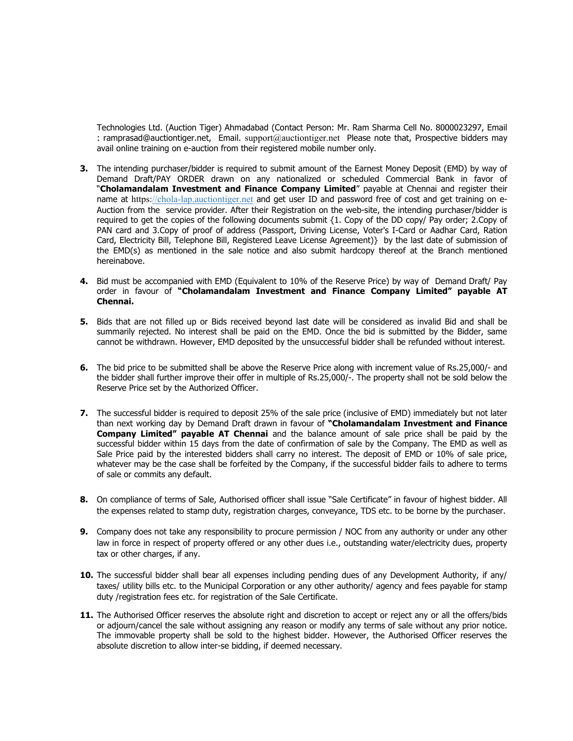Technologies Ltd. (Auction Tiger) Ahmadabad (Contact Person: Mr. Ram Sharma Cell No. 8000023297, Email : ramprasad@auctiontiger.net, Email. support@auctiontiger.net Please note that, Prospective bidders may avail online training on e-auction from their registered mobile number only.

- 3. The intending purchaser/bidder is required to submit amount of the Earnest Money Deposit (EMD) by way of Demand Draft/PAY ORDER drawn on any nationalized or scheduled Commercial Bank in favor of "Cholamandalam Investment and Finance Company Limited" payable at Chennai and register their name at https://chola-lap.auctiontiger.net and get user ID and password free of cost and get training on e-Auction from the service provider. After their Registration on the web-site, the intending purchaser/bidder is required to get the copies of the following documents submit {1. Copy of the DD copy/ Pay order; 2.Copy of PAN card and 3.Copy of proof of address (Passport, Driving License, Voter's I-Card or Aadhar Card, Ration Card, Electricity Bill, Telephone Bill, Registered Leave License Agreement)} by the last date of submission of the EMD(s) as mentioned in the sale notice and also submit hardcopy thereof at the Branch mentioned hereinabove.
- 4. Bid must be accompanied with EMD (Equivalent to 10% of the Reserve Price) by way of Demand Draft/ Pay order in favour of "Cholamandalam Investment and Finance Company Limited" payable AT Chennai.
- 5. Bids that are not filled up or Bids received beyond last date will be considered as invalid Bid and shall be summarily rejected. No interest shall be paid on the EMD. Once the bid is submitted by the Bidder, same cannot be withdrawn. However, EMD deposited by the unsuccessful bidder shall be refunded without interest.
- 6. The bid price to be submitted shall be above the Reserve Price along with increment value of Rs.25,000/- and the bidder shall further improve their offer in multiple of Rs.25,000/-. The property shall not be sold below the Reserve Price set by the Authorized Officer.
- 7. The successful bidder is required to deposit 25% of the sale price (inclusive of EMD) immediately but not later than next working day by Demand Draft drawn in favour of "Cholamandalam Investment and Finance Company Limited" payable AT Chennai and the balance amount of sale price shall be paid by the successful bidder within 15 days from the date of confirmation of sale by the Company. The EMD as well as Sale Price paid by the interested bidders shall carry no interest. The deposit of EMD or 10% of sale price, whatever may be the case shall be forfeited by the Company, if the successful bidder fails to adhere to terms of sale or commits any default.
- 8. On compliance of terms of Sale, Authorised officer shall issue "Sale Certificate" in favour of highest bidder. All the expenses related to stamp duty, registration charges, conveyance, TDS etc. to be borne by the purchaser.
- 9. Company does not take any responsibility to procure permission / NOC from any authority or under any other law in force in respect of property offered or any other dues i.e., outstanding water/electricity dues, property tax or other charges, if any.
- 10. The successful bidder shall bear all expenses including pending dues of any Development Authority, if any/ taxes/ utility bills etc. to the Municipal Corporation or any other authority/ agency and fees payable for stamp duty /registration fees etc. for registration of the Sale Certificate.
- 11. The Authorised Officer reserves the absolute right and discretion to accept or reject any or all the offers/bids or adjourn/cancel the sale without assigning any reason or modify any terms of sale without any prior notice. The immovable property shall be sold to the highest bidder. However, the Authorised Officer reserves the absolute discretion to allow inter-se bidding, if deemed necessary.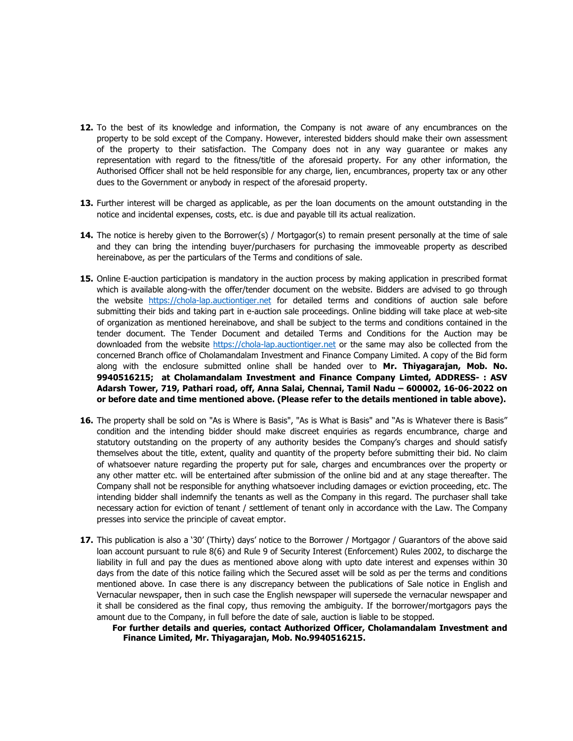- 12. To the best of its knowledge and information, the Company is not aware of any encumbrances on the property to be sold except of the Company. However, interested bidders should make their own assessment of the property to their satisfaction. The Company does not in any way guarantee or makes any representation with regard to the fitness/title of the aforesaid property. For any other information, the Authorised Officer shall not be held responsible for any charge, lien, encumbrances, property tax or any other dues to the Government or anybody in respect of the aforesaid property.
- 13. Further interest will be charged as applicable, as per the loan documents on the amount outstanding in the notice and incidental expenses, costs, etc. is due and payable till its actual realization.
- 14. The notice is hereby given to the Borrower(s) / Mortgagor(s) to remain present personally at the time of sale and they can bring the intending buyer/purchasers for purchasing the immoveable property as described hereinabove, as per the particulars of the Terms and conditions of sale.
- 15. Online E-auction participation is mandatory in the auction process by making application in prescribed format which is available along-with the offer/tender document on the website. Bidders are advised to go through the website https://chola-lap.auctiontiger.net for detailed terms and conditions of auction sale before submitting their bids and taking part in e-auction sale proceedings. Online bidding will take place at web-site of organization as mentioned hereinabove, and shall be subject to the terms and conditions contained in the tender document. The Tender Document and detailed Terms and Conditions for the Auction may be downloaded from the website https://chola-lap.auctiontiger.net or the same may also be collected from the concerned Branch office of Cholamandalam Investment and Finance Company Limited. A copy of the Bid form along with the enclosure submitted online shall be handed over to Mr. Thiyagarajan, Mob. No. 9940516215; at Cholamandalam Investment and Finance Company Limted, ADDRESS- : ASV Adarsh Tower, 719, Pathari road, off, Anna Salai, Chennai, Tamil Nadu – 600002, 16-06-2022 on or before date and time mentioned above. (Please refer to the details mentioned in table above).
- 16. The property shall be sold on "As is Where is Basis", "As is What is Basis" and "As is Whatever there is Basis" condition and the intending bidder should make discreet enquiries as regards encumbrance, charge and statutory outstanding on the property of any authority besides the Company's charges and should satisfy themselves about the title, extent, quality and quantity of the property before submitting their bid. No claim of whatsoever nature regarding the property put for sale, charges and encumbrances over the property or any other matter etc. will be entertained after submission of the online bid and at any stage thereafter. The Company shall not be responsible for anything whatsoever including damages or eviction proceeding, etc. The intending bidder shall indemnify the tenants as well as the Company in this regard. The purchaser shall take necessary action for eviction of tenant / settlement of tenant only in accordance with the Law. The Company presses into service the principle of caveat emptor.
- 17. This publication is also a '30' (Thirty) days' notice to the Borrower / Mortgagor / Guarantors of the above said loan account pursuant to rule 8(6) and Rule 9 of Security Interest (Enforcement) Rules 2002, to discharge the liability in full and pay the dues as mentioned above along with upto date interest and expenses within 30 days from the date of this notice failing which the Secured asset will be sold as per the terms and conditions mentioned above. In case there is any discrepancy between the publications of Sale notice in English and Vernacular newspaper, then in such case the English newspaper will supersede the vernacular newspaper and it shall be considered as the final copy, thus removing the ambiguity. If the borrower/mortgagors pays the amount due to the Company, in full before the date of sale, auction is liable to be stopped.
	- For further details and queries, contact Authorized Officer, Cholamandalam Investment and Finance Limited, Mr. Thiyagarajan, Mob. No.9940516215.